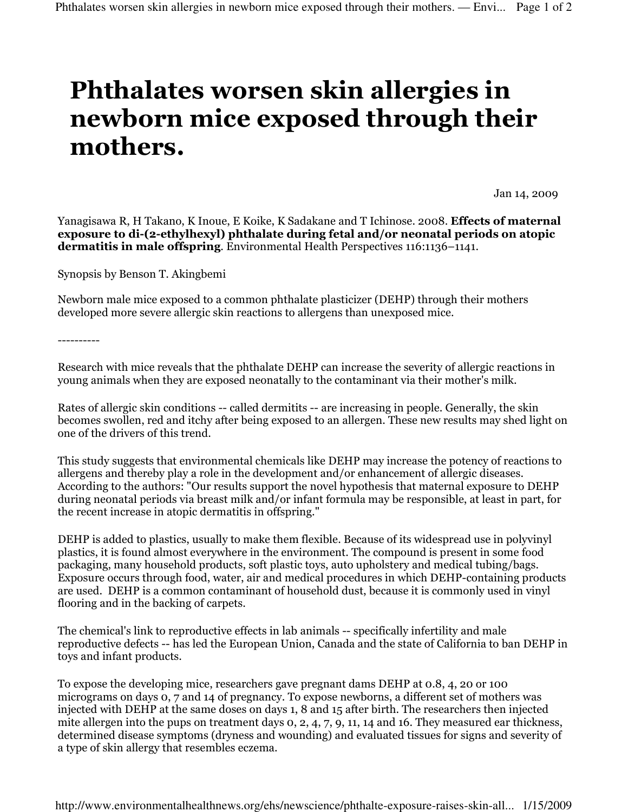## Phthalates worsen skin allergies in newborn mice exposed through their mothers.

Jan 14, 2009

Yanagisawa R, H Takano, K Inoue, E Koike, K Sadakane and T Ichinose. 2008. Effects of maternal exposure to di-(2-ethylhexyl) phthalate during fetal and/or neonatal periods on atopic dermatitis in male offspring. Environmental Health Perspectives 116:1136–1141.

Synopsis by Benson T. Akingbemi

Newborn male mice exposed to a common phthalate plasticizer (DEHP) through their mothers developed more severe allergic skin reactions to allergens than unexposed mice.

----------

Research with mice reveals that the phthalate DEHP can increase the severity of allergic reactions in young animals when they are exposed neonatally to the contaminant via their mother's milk.

Rates of allergic skin conditions -- called dermitits -- are increasing in people. Generally, the skin becomes swollen, red and itchy after being exposed to an allergen. These new results may shed light on one of the drivers of this trend.

This study suggests that environmental chemicals like DEHP may increase the potency of reactions to allergens and thereby play a role in the development and/or enhancement of allergic diseases. According to the authors: "Our results support the novel hypothesis that maternal exposure to DEHP during neonatal periods via breast milk and/or infant formula may be responsible, at least in part, for the recent increase in atopic dermatitis in offspring."

DEHP is added to plastics, usually to make them flexible. Because of its widespread use in polyvinyl plastics, it is found almost everywhere in the environment. The compound is present in some food packaging, many household products, soft plastic toys, auto upholstery and medical tubing/bags. Exposure occurs through food, water, air and medical procedures in which DEHP-containing products are used. DEHP is a common contaminant of household dust, because it is commonly used in vinyl flooring and in the backing of carpets.

The chemical's link to reproductive effects in lab animals -- specifically infertility and male reproductive defects -- has led the European Union, Canada and the state of California to ban DEHP in toys and infant products.

To expose the developing mice, researchers gave pregnant dams DEHP at 0.8, 4, 20 or 100 micrograms on days 0, 7 and 14 of pregnancy. To expose newborns, a different set of mothers was injected with DEHP at the same doses on days 1, 8 and 15 after birth. The researchers then injected mite allergen into the pups on treatment days 0, 2, 4, 7, 9, 11, 14 and 16. They measured ear thickness, determined disease symptoms (dryness and wounding) and evaluated tissues for signs and severity of a type of skin allergy that resembles eczema.